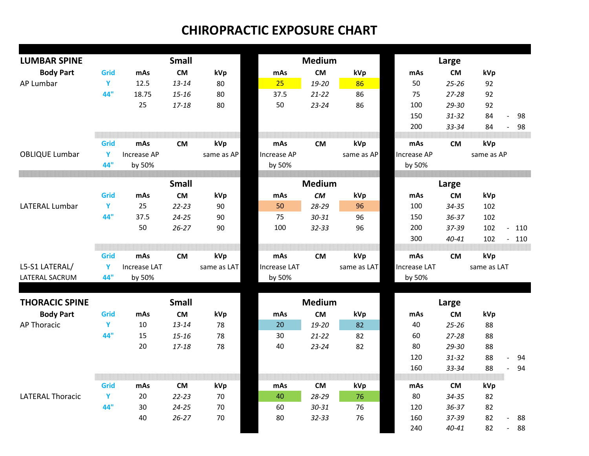| <b>LUMBAR SPINE</b>     |      |                     | <b>Small</b> |             |                     | <b>Medium</b> |             | Large               |           |             |                          |     |
|-------------------------|------|---------------------|--------------|-------------|---------------------|---------------|-------------|---------------------|-----------|-------------|--------------------------|-----|
| <b>Body Part</b>        | Grid | mAs                 | <b>CM</b>    | kVp         | mAs                 | <b>CM</b>     | kVp         | mAs                 | <b>CM</b> | kVp         |                          |     |
| AP Lumbar               | Y    | 12.5                | $13 - 14$    | 80          | 25                  | 19-20         | 86          | 50                  | $25 - 26$ | 92          |                          |     |
|                         | 44"  | 18.75               | $15 - 16$    | 80          | 37.5                | $21 - 22$     | 86          | 75                  | $27 - 28$ | 92          |                          |     |
|                         |      | 25                  | $17 - 18$    | 80          | 50                  | $23 - 24$     | 86          | 100                 | 29-30     | 92          |                          |     |
|                         |      |                     |              |             |                     |               |             | 150                 | $31 - 32$ | 84          | $\overline{\phantom{a}}$ | 98  |
|                         |      |                     |              |             |                     |               |             | 200                 | 33-34     | 84          | $\mathbb{Z}^2$           | 98  |
|                         |      |                     |              |             |                     |               |             |                     |           |             |                          |     |
|                         | Grid | mAs                 | <b>CM</b>    | kVp         | mAs                 | <b>CM</b>     | kVp         | mAs                 | <b>CM</b> | kVp         |                          |     |
| <b>OBLIQUE Lumbar</b>   | Y    | <b>Increase AP</b>  |              | same as AP  | Increase AP         |               | same as AP  | Increase AP         |           | same as AP  |                          |     |
|                         | 44"  | by 50%              |              |             | by 50%              |               |             | by 50%              |           |             |                          |     |
|                         |      |                     |              |             |                     |               |             |                     |           |             |                          |     |
|                         |      |                     | <b>Small</b> |             |                     | <b>Medium</b> |             |                     | Large     |             |                          |     |
|                         | Grid | mAs                 | <b>CM</b>    | kVp         | mAs                 | <b>CM</b>     | kVp         | mAs                 | <b>CM</b> | kVp         |                          |     |
| <b>LATERAL Lumbar</b>   | Y    | 25                  | $22 - 23$    | 90          | 50                  | 28-29         | 96          | 100                 | $34 - 35$ | 102         |                          |     |
|                         | 44"  | 37.5                | $24 - 25$    | 90          | 75                  | $30 - 31$     | 96          | 150                 | $36 - 37$ | 102         |                          |     |
|                         |      | 50                  | $26 - 27$    | 90          | 100                 | $32 - 33$     | 96          | 200                 | 37-39     | 102         | $\mathbf{r}$             | 110 |
|                         |      |                     |              |             |                     |               |             | 300                 | $40 - 41$ | 102         | $\blacksquare$           | 110 |
|                         |      |                     |              |             |                     |               |             |                     |           |             |                          |     |
|                         | Grid | mAs                 | <b>CM</b>    | kVp         | mAs                 | <b>CM</b>     | kVp         | mAs                 | <b>CM</b> | kVp         |                          |     |
| L5-S1 LATERAL/          | Y    | <b>Increase LAT</b> |              | same as LAT | <b>Increase LAT</b> |               | same as LAT | <b>Increase LAT</b> |           | same as LAT |                          |     |
| LATERAL SACRUM          | 44"  | by 50%              |              |             | by 50%              |               |             | by 50%              |           |             |                          |     |
| <b>THORACIC SPINE</b>   |      |                     | <b>Small</b> |             |                     | <b>Medium</b> |             |                     |           |             |                          |     |
|                         |      |                     |              |             |                     |               |             |                     | Large     |             |                          |     |
| <b>Body Part</b>        | Grid | mAs                 | <b>CM</b>    | kVp         | mAs                 | <b>CM</b>     | kVp         | mAs                 | <b>CM</b> | kVp         |                          |     |
| <b>AP Thoracic</b>      | Y    | 10                  | $13 - 14$    | 78          | 20                  | 19-20         | 82          | 40                  | $25 - 26$ | 88          |                          |     |
|                         | 44"  | 15                  | $15 - 16$    | 78          | 30                  | $21 - 22$     | 82          | 60                  | 27-28     | 88          |                          |     |
|                         |      | 20                  | 17-18        | 78          | 40                  | $23 - 24$     | 82          | 80                  | 29-30     | 88          |                          |     |
|                         |      |                     |              |             |                     |               |             | 120                 | $31 - 32$ | 88          | L.                       | 94  |
|                         |      |                     |              |             |                     |               |             | 160                 | 33-34     | 88          | $\sim$                   | 94  |
|                         | Grid |                     |              |             |                     |               |             |                     | <b>CM</b> |             |                          |     |
|                         |      | mAs                 | <b>CM</b>    | kVp         | mAs                 | <b>CM</b>     | kVp         | mAs                 |           | kVp         |                          |     |
| <b>LATERAL Thoracic</b> | Y    | 20                  | $22 - 23$    | 70          | 40                  | 28-29         | 76          | 80                  | $34 - 35$ | 82          |                          |     |
|                         | 44"  | 30                  | $24 - 25$    | 70          | 60                  | $30 - 31$     | 76          | 120                 | $36 - 37$ | 82          |                          |     |
|                         |      | 40                  | $26 - 27$    | 70          | 80                  | $32 - 33$     | 76          | 160                 | 37-39     | 82          | $\overline{a}$           | 88  |
|                         |      |                     |              |             |                     |               |             | 240                 | 40-41     | 82          | $\mathbb{Z}^2$           | 88  |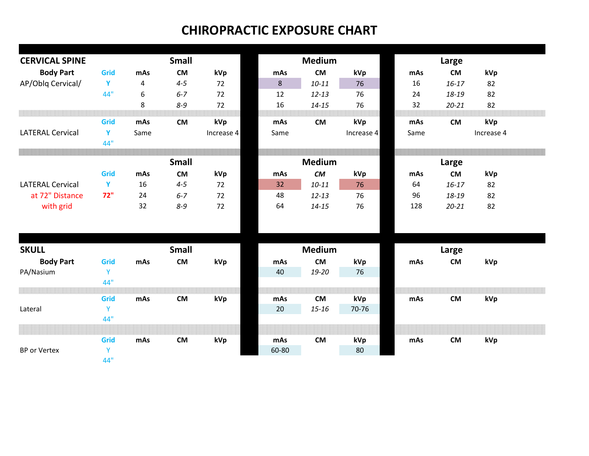| <b>CERVICAL SPINE</b>   |      | <b>Small</b>     |              |            | <b>Medium</b> |               |            |      |           |            |  |  |  |  |
|-------------------------|------|------------------|--------------|------------|---------------|---------------|------------|------|-----------|------------|--|--|--|--|
|                         |      |                  |              |            |               |               |            |      | Large     |            |  |  |  |  |
| <b>Body Part</b>        | Grid | mAs              | <b>CM</b>    | kVp        | mAs           | <b>CM</b>     | kVp        | mAs  | <b>CM</b> | kVp        |  |  |  |  |
| AP/Oblq Cervical/       | Y    | 4                | $4 - 5$      | 72         | 8             | $10 - 11$     | 76         | 16   | $16 - 17$ | 82         |  |  |  |  |
|                         | 44"  | $\boldsymbol{6}$ | $6 - 7$      | 72         | 12            | $12 - 13$     | 76         | 24   | 18-19     | 82         |  |  |  |  |
|                         |      | 8                | $8 - 9$      | 72         | 16            | $14 - 15$     | 76         | 32   | $20 - 21$ | 82         |  |  |  |  |
|                         | Grid | mAs              | <b>CM</b>    | kVp        | mAs           | <b>CM</b>     | kVp        | mAs  | <b>CM</b> | kVp        |  |  |  |  |
| <b>LATERAL Cervical</b> | Y    | Same             |              | Increase 4 | Same          |               | Increase 4 | Same |           | Increase 4 |  |  |  |  |
|                         | 44"  |                  |              |            |               |               |            |      |           |            |  |  |  |  |
|                         |      |                  | <b>Small</b> |            |               | <b>Medium</b> |            |      |           | Large      |  |  |  |  |
|                         |      |                  |              |            |               |               |            |      |           |            |  |  |  |  |
|                         | Grid | mAs              | <b>CM</b>    | kVp        | mAs           | CM            | kVp        | mAs  | <b>CM</b> | kVp        |  |  |  |  |
| <b>LATERAL Cervical</b> | Y    | 16               | $4 - 5$      | 72         | 32            | $10 - 11$     | 76         | 64   | $16 - 17$ | 82         |  |  |  |  |
| at 72" Distance         | 72"  | 24               | $6 - 7$      | 72         | 48            | $12 - 13$     | 76         | 96   | 18-19     | 82         |  |  |  |  |
| with grid               |      | 32               | $8 - 9$      | 72         | 64            | $14 - 15$     | 76         | 128  | $20 - 21$ | 82         |  |  |  |  |
|                         |      |                  |              |            |               |               |            |      |           |            |  |  |  |  |
|                         |      |                  |              |            |               |               |            |      |           |            |  |  |  |  |
| <b>SKULL</b>            |      |                  | <b>Small</b> |            |               | <b>Medium</b> |            |      | Large     |            |  |  |  |  |
| <b>Body Part</b>        | Grid | mAs              | <b>CM</b>    | kVp        | mAs           | <b>CM</b>     | kVp        | mAs  | <b>CM</b> | kVp        |  |  |  |  |
| PA/Nasium               | Y    |                  |              |            | 40            | 19-20         | 76         |      |           |            |  |  |  |  |
|                         | 44"  |                  |              |            |               |               |            |      |           |            |  |  |  |  |
|                         | Grid | mAs              | <b>CM</b>    | kVp        | mAs           | <b>CM</b>     | kVp        | mAs  | <b>CM</b> | kVp        |  |  |  |  |
| Lateral                 | Y    |                  |              |            | 20            | $15 - 16$     | 70-76      |      |           |            |  |  |  |  |
|                         | 44"  |                  |              |            |               |               |            |      |           |            |  |  |  |  |
|                         |      |                  |              |            |               |               |            |      |           |            |  |  |  |  |
|                         | Grid | mAs              | <b>CM</b>    | kVp        | mAs           | <b>CM</b>     | kVp        | mAs  | <b>CM</b> | kVp        |  |  |  |  |
| <b>BP</b> or Vertex     | Y    |                  |              |            | 60-80         |               | 80         |      |           |            |  |  |  |  |
|                         | 44"  |                  |              |            |               |               |            |      |           |            |  |  |  |  |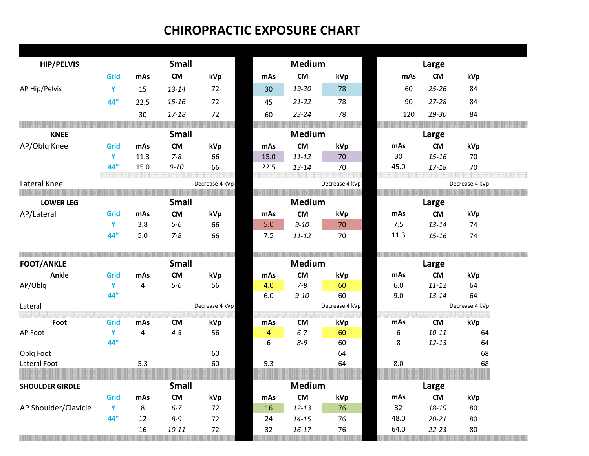| <b>HIP/PELVIS</b>      |      |                | <b>Small</b>         |                |          | <b>Medium</b>          |                |              | Large                  |                |
|------------------------|------|----------------|----------------------|----------------|----------|------------------------|----------------|--------------|------------------------|----------------|
|                        | Grid | mAs            | ${\sf CM}$           | kVp            | mAs      | ${\sf CM}$             | kVp            | mAs          | <b>CM</b>              | kVp            |
| AP Hip/Pelvis          | Y    | 15             | $13 - 14$            | 72             | 30       | 19-20                  | 78             | 60           | $25 - 26$              | 84             |
|                        | 44"  | 22.5           | $15 - 16$            | 72             | 45       | $21 - 22$              | 78             | 90           | $27 - 28$              | 84             |
|                        |      | 30             | $17 - 18$            | 72             | 60       | $23 - 24$              | 78             | 120          | 29-30                  | 84             |
|                        |      |                |                      |                |          |                        |                |              |                        |                |
| <b>KNEE</b>            |      |                | <b>Small</b>         |                |          | <b>Medium</b>          |                |              | Large                  |                |
| AP/Oblq Knee           | Grid | mAs            | <b>CM</b>            | kVp            | mAs      | ${\sf CM}$             | kVp            | mAs          | <b>CM</b>              | kVp            |
|                        | Y    | 11.3           | $7 - 8$              | 66             | 15.0     | $11 - 12$              | 70             | 30           | $15 - 16$              | 70             |
|                        | 44"  | 15.0           | $9 - 10$             | 66             | 22.5     | $13 - 14$              | 70             | 45.0         | $17 - 18$              | 70             |
| Lateral Knee           |      |                |                      | Decrease 4 kVp |          |                        | Decrease 4 kVp |              |                        | Decrease 4 kVp |
|                        |      |                |                      |                |          |                        |                |              |                        |                |
| <b>LOWER LEG</b>       |      |                | <b>Small</b>         |                |          | <b>Medium</b>          |                |              | Large                  |                |
| AP/Lateral             | Grid | mAs            | <b>CM</b>            | kVp            | mAs      | <b>CM</b>              | kVp            | mAs          | <b>CM</b>              | kVp            |
|                        | Y    | 3.8            | $5-6$                | 66             | 5.0      | $9 - 10$               | 70             | 7.5          | $13 - 14$              | 74             |
|                        | 44"  | 5.0            | $7 - 8$              | 66             | 7.5      | $11 - 12$              | 70             | 11.3         | $15 - 16$              | 74             |
|                        |      |                |                      |                |          |                        |                |              |                        |                |
| <b>FOOT/ANKLE</b>      |      |                | <b>Small</b>         |                |          | <b>Medium</b>          |                |              | Large                  |                |
| <b>Ankle</b>           | Grid | mAs            | <b>CM</b>            | kVp            | mAs      | <b>CM</b>              | kVp            | mAs          | <b>CM</b>              | kVp            |
| AP/Oblq                | Y    | 4              | $5-6$                | 56             | 4.0      | $7 - 8$                | 60             | 6.0          | $11 - 12$              | 64             |
|                        | 44"  |                |                      |                | $6.0\,$  | $9 - 10$               | 60             | 9.0          | $13 - 14$              | 64             |
| Lateral                |      |                |                      | Decrease 4 kVp |          |                        | Decrease 4 kVp |              |                        | Decrease 4 kVp |
| Foot                   | Grid | mAs            | <b>CM</b>            | kVp            | mAs      | <b>CM</b>              | kVp            | mAs          | <b>CM</b>              | kVp            |
| AP Foot                | Y    | $\overline{4}$ | $4 - 5$              | 56             | 4        | $6 - 7$                | 60             | 6            | $10 - 11$              | 64             |
|                        | 44"  |                |                      |                | 6        | $8 - 9$                | 60             | 8            | $12 - 13$              | 64             |
| Oblq Foot              |      |                |                      | 60             |          |                        | 64             |              |                        | 68             |
| Lateral Foot           |      | 5.3            |                      | 60             | 5.3      |                        | 64             | 8.0          |                        | 68             |
|                        |      |                |                      |                |          |                        |                |              |                        |                |
|                        |      |                |                      |                |          | <b>Medium</b>          |                |              | Large                  |                |
| <b>SHOULDER GIRDLE</b> |      |                | <b>Small</b>         |                |          |                        |                |              |                        |                |
|                        | Grid | mAs            | <b>CM</b>            | kVp            | mAs      | <b>CM</b>              | kVp            | mAs          | <b>CM</b>              | kVp            |
| AP Shoulder/Clavicle   | Y    | 8              | $6 - 7$              | 72             | 16       | $12 - 13$              | 76             | 32           | 18-19                  | 80             |
|                        | 44"  | 12<br>16       | $8 - 9$<br>$10 - 11$ | 72<br>72       | 24<br>32 | $14 - 15$<br>$16 - 17$ | 76<br>76       | 48.0<br>64.0 | $20 - 21$<br>$22 - 23$ | 80<br>80       |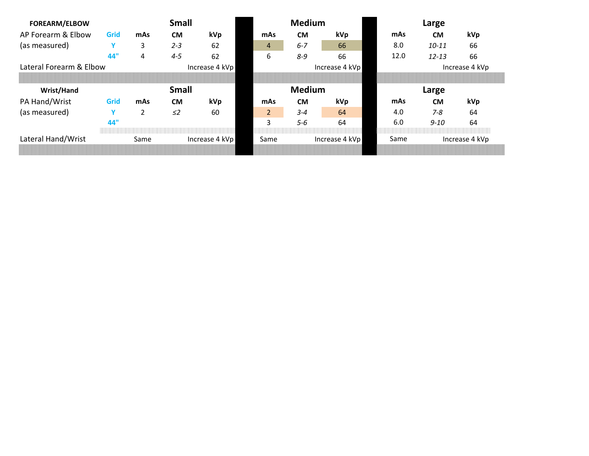| <b>FOREARM/ELBOW</b>    |      | <b>Small</b>           |              |                |      | <b>Medium</b>  |                | Large          |       |                |     |  |
|-------------------------|------|------------------------|--------------|----------------|------|----------------|----------------|----------------|-------|----------------|-----|--|
| AP Forearm & Elbow      | Grid | mAs                    | <b>CM</b>    | kVp            |      | mAs            | <b>CM</b>      | kVp            | mAs   | <b>CM</b>      | kVp |  |
| (as measured)           | v    | 3                      | $2 - 3$      | -62            |      | 4              | $6 - 7$        | 66             | 8.0   | $10 - 11$      | 66  |  |
|                         | 44"  | 4                      | $4 - 5$      | 62             |      | 6              | $8 - 9$        | 66             | 12.0  | $12 - 13$      | 66  |  |
| Lateral Forearm & Elbow |      |                        |              | Increase 4 kVp |      |                |                | Increase 4 kVp |       | Increase 4 kVp |     |  |
|                         |      |                        |              |                |      |                |                |                |       |                |     |  |
| Wrist/Hand              |      |                        | <b>Small</b> |                |      |                | <b>Medium</b>  |                | Large |                |     |  |
| PA Hand/Wrist           | Grid | mAs                    | <b>CM</b>    | kVp            |      | mAs            | <b>CM</b>      | kVp            | mAs   | <b>CM</b>      | kVp |  |
| (as measured)           | Y    | 2                      | $\leq$       | 60             |      | $\overline{2}$ | $3 - 4$        | 64             | 4.0   | $7 - 8$        | 64  |  |
|                         | 44"  |                        |              |                |      | 3              | $5 - 6$        | 64             | 6.0   | $9 - 10$       | 64  |  |
| Lateral Hand/Wrist      |      | Same<br>Increase 4 kVp |              |                | Same |                | Increase 4 kVp | Same           |       | Increase 4 kVp |     |  |